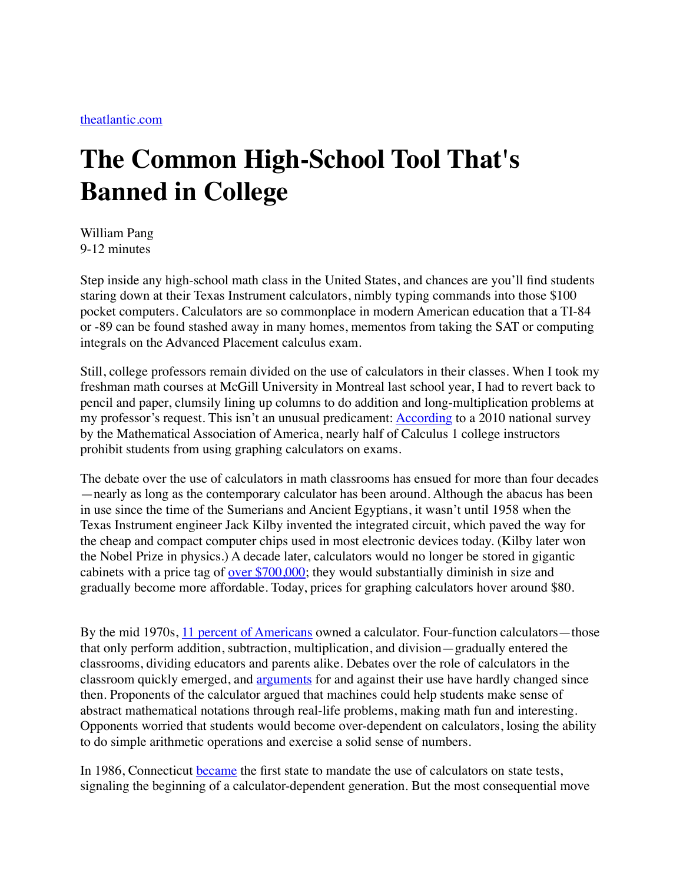## **The Common High-School Tool That's Banned in College**

William Pang 9-12 minutes

Step inside any high-school math class in the United States, and chances are you'll find students staring down at their Texas Instrument calculators, nimbly typing commands into those \$100 pocket computers. Calculators are so commonplace in modern American education that a TI-84 or -89 can be found stashed away in many homes, mementos from taking the SAT or computing integrals on the Advanced Placement calculus exam.

Still, college professors remain divided on the use of calculators in their classes. When I took my freshman math courses at McGill University in Montreal last school year, I had to revert back to pencil and paper, clumsily lining up columns to do addition and long-multiplication problems at my professor's request. This isn't an unusual predicament: [According](https://www.maa.org/external_archive/columns/launchings/launchings_06_11.html) to a 2010 national survey by the Mathematical Association of America, nearly half of Calculus 1 college instructors prohibit students from using graphing calculators on exams.

The debate over the use of calculators in math classrooms has ensued for more than four decades —nearly as long as the contemporary calculator has been around. Although the abacus has been in use since the time of the Sumerians and Ancient Egyptians, it wasn't until 1958 when the Texas Instrument engineer Jack Kilby invented the integrated circuit, which paved the way for the cheap and compact computer chips used in most electronic devices today. (Kilby later won the Nobel Prize in physics.) A decade later, calculators would no longer be stored in gigantic cabinets with a price tag of [over \\$700,000;](https://www-03.ibm.com/ibm/history/exhibits/vintage/vintage_4506VV2214.html) they would substantially diminish in size and gradually become more affordable. Today, prices for graphing calculators hover around \$80.

By the mid 1970s, [11 percent of Americans](http://www.atariarchives.org/bcc2/showpage.php?page=89) owned a calculator. Four-function calculators—those that only perform addition, subtraction, multiplication, and division—gradually entered the classrooms, dividing educators and parents alike. Debates over the role of calculators in the classroom quickly emerged, and [arguments](http://www.atariarchives.org/bcc2/showpage.php?page=88) for and against their use have hardly changed since then. Proponents of the calculator argued that machines could help students make sense of abstract mathematical notations through real-life problems, making math fun and interesting. Opponents worried that students would become over-dependent on calculators, losing the ability to do simple arithmetic operations and exercise a solid sense of numbers.

In 1986, Connecticut [became](http://www.nytimes.com/1986/08/31/nyregion/state-adding-a-tool-for-8th-grade-math.html) the first state to mandate the use of calculators on state tests, signaling the beginning of a calculator-dependent generation. But the most consequential move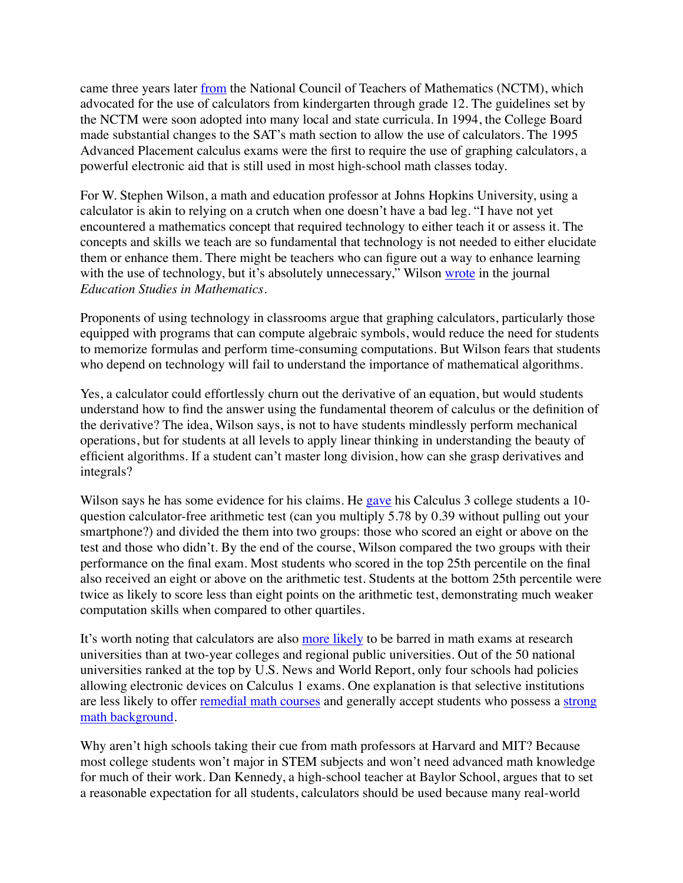came three years later [from](http://www.fayar.net/east/teacher.web/math/Standards/previous/CurrEvStds/index.htm) the National Council of Teachers of Mathematics (NCTM), which advocated for the use of calculators from kindergarten through grade 12. The guidelines set by the NCTM were soon adopted into many local and state curricula. In 1994, the College Board made substantial changes to the SAT's math section to allow the use of calculators. The 1995 Advanced Placement calculus exams were the first to require the use of graphing calculators, a powerful electronic aid that is still used in most high-school math classes today.

For W. Stephen Wilson, a math and education professor at Johns Hopkins University, using a calculator is akin to relying on a crutch when one doesn't have a bad leg. "I have not yet encountered a mathematics concept that required technology to either teach it or assess it. The concepts and skills we teach are so fundamental that technology is not needed to either elucidate them or enhance them. There might be teachers who can figure out a way to enhance learning with the use of technology, but it's absolutely unnecessary," Wilson [wrote](http://www.math.jhu.edu/~wsw/ED/response6.pdf) in the journal *Education Studies in Mathematics*.

Proponents of using technology in classrooms argue that graphing calculators, particularly those equipped with programs that can compute algebraic symbols, would reduce the need for students to memorize formulas and perform time-consuming computations. But Wilson fears that students who depend on technology will fail to understand the importance of mathematical algorithms.

Yes, a calculator could effortlessly churn out the derivative of an equation, but would students understand how to find the answer using the fundamental theorem of calculus or the definition of the derivative? The idea, Wilson says, is not to have students mindlessly perform mechanical operations, but for students at all levels to apply linear thinking in understanding the beauty of efficient algorithms. If a student can't master long division, how can she grasp derivatives and integrals?

Wilson says he has some evidence for his claims. He [gave](http://www.math.jhu.edu/~wsw/ED/arith.pdf) his Calculus 3 college students a 10question calculator-free arithmetic test (can you multiply 5.78 by 0.39 without pulling out your smartphone?) and divided the them into two groups: those who scored an eight or above on the test and those who didn't. By the end of the course, Wilson compared the two groups with their performance on the final exam. Most students who scored in the top 25th percentile on the final also received an eight or above on the arithmetic test. Students at the bottom 25th percentile were twice as likely to score less than eight points on the arithmetic test, demonstrating much weaker computation skills when compared to other quartiles.

It's worth noting that calculators are also [more likely](http://www.maa.org/sites/default/files/pdf/cspcc/InsightsandRecommendations.pdf) to be barred in math exams at research universities than at two-year colleges and regional public universities. Out of the 50 national universities ranked at the top by U.S. News and World Report, only four schools had policies allowing electronic devices on Calculus 1 exams. One explanation is that selective institutions are less likely to offer [remedial math courses](https://www.gse.harvard.edu/news/uk/07/07/college-remediation-who-needs-it-and-does-it-help) and generally accept students who possess a [strong](http://www.forbes.com/sites/schifrin/2014/08/04/top-100-sat-scores-ranking-which-colleges-have-the-brightest-kids/#41eea5cb38a1)  [math background.](http://www.forbes.com/sites/schifrin/2014/08/04/top-100-sat-scores-ranking-which-colleges-have-the-brightest-kids/#41eea5cb38a1)

Why aren't high schools taking their cue from math professors at Harvard and MIT? Because most college students won't major in STEM subjects and won't need advanced math knowledge for much of their work. Dan Kennedy, a high-school teacher at Baylor School, argues that to set a reasonable expectation for all students, calculators should be used because many real-world